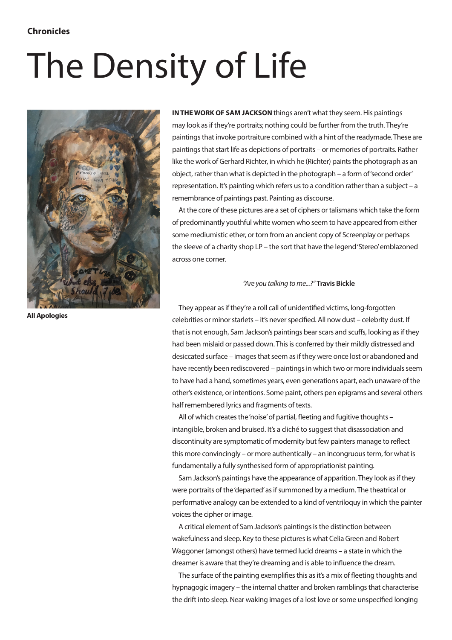## The Density of Life



**IN THE WORK OF SAM JACKSON** things aren't what they seem. His paintings may look as if they're portraits; nothing could be further from the truth. They're paintings that invoke portraiture combined with a hint of the readymade. These are paintings that start life as depictions of portraits – or memories of portraits. Rather like the work of Gerhard Richter, in which he (Richter) paints the photograph as an object, rather than what is depicted in the photograph – a form of 'second order' representation. It's painting which refers us to a condition rather than a subject – a remembrance of paintings past. Painting as discourse.

At the core of these pictures are a set of ciphers or talismans which take the form of predominantly youthful white women who seem to have appeared from either some mediumistic ether, or torn from an ancient copy of Screenplay or perhaps the sleeve of a charity shop LP – the sort that have the legend 'Stereo' emblazoned across one corner.

## *"Are you talking to me...?"* **Travis Bickle**

**All Apologies**

They appear as if they're a roll call of unidentified victims, long-forgotten celebrities or minor starlets – it's never specified. All now dust – celebrity dust. If that is not enough, Sam Jackson's paintings bear scars and scuffs, looking as if they had been mislaid or passed down. This is conferred by their mildly distressed and desiccated surface – images that seem as if they were once lost or abandoned and have recently been rediscovered – paintings in which two or more individuals seem to have had a hand, sometimes years, even generations apart, each unaware of the other's existence, or intentions. Some paint, others pen epigrams and several others half remembered lyrics and fragments of texts.

All of which creates the 'noise' of partial, fleeting and fugitive thoughts – intangible, broken and bruised. It's a cliché to suggest that disassociation and discontinuity are symptomatic of modernity but few painters manage to reflect this more convincingly – or more authentically – an incongruous term, for what is fundamentally a fully synthesised form of appropriationist painting.

Sam Jackson's paintings have the appearance of apparition. They look as if they were portraits of the 'departed' as if summoned by a medium. The theatrical or performative analogy can be extended to a kind of ventriloquy in which the painter voices the cipher or image.

A critical element of Sam Jackson's paintings is the distinction between wakefulness and sleep. Key to these pictures is what Celia Green and Robert Waggoner (amongst others) have termed lucid dreams – a state in which the dreamer is aware that they're dreaming and is able to influence the dream.

The surface of the painting exemplifies this as it's a mix of fleeting thoughts and hypnagogic imagery – the internal chatter and broken ramblings that characterise the drift into sleep. Near waking images of a lost love or some unspecified longing